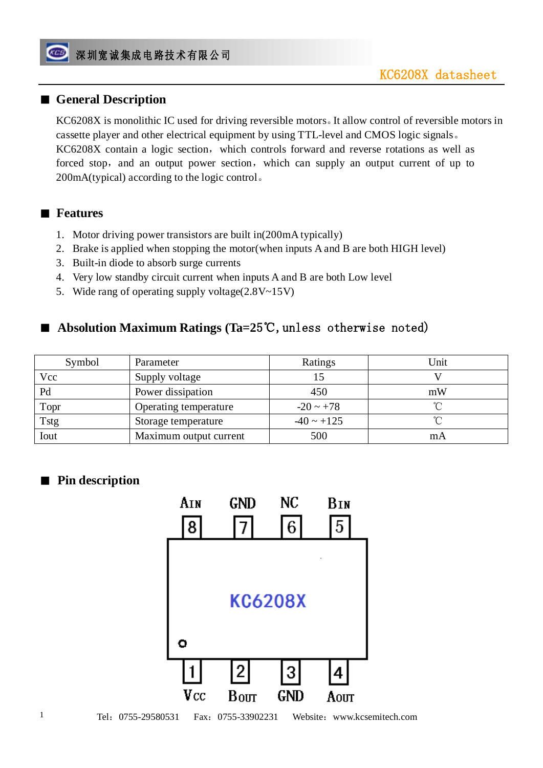### ■ General Description

KC6208X is monolithic IC used for driving reversible motors。It allow control of reversible motors in cassette player and other electrical equipment by using TTL-level and CMOS logic signals。 KC6208X contain a logic section, which controls forward and reverse rotations as well as forced stop, and an output power section, which can supply an output current of up to 200mA(typical) according to the logic control。

#### ■ **Features**

- 1. Motor driving power transistors are built in(200mA typically)
- 2. Brake is applied when stopping the motor(when inputs A and B are both HIGH level)
- 3. Built-in diode to absorb surge currents
- 4. Very low standby circuit current when inputs A and B are both Low level
- 5. Wide rang of operating supply voltage(2.8V~15V)

### ■ **Absolution Maximum Ratings (Ta=25℃, unless otherwise noted)**

| Symbol | Parameter              | Ratings         | Unit |
|--------|------------------------|-----------------|------|
| Vcc    | Supply voltage         |                 |      |
| Pd     | Power dissipation      | 450             | mW   |
| Topr   | Operating temperature  | $-20 \sim +78$  |      |
| Tstg   | Storage temperature    | $-40 \sim +125$ |      |
| Iout   | Maximum output current | 500             | mA   |

### ■ **Pin description**

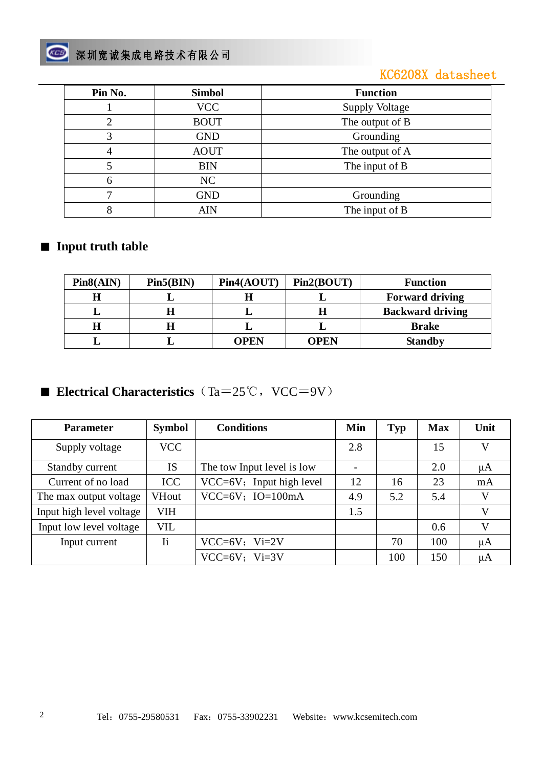# 图 深圳宽诚集成电路技术有限公司

## KC6208X datasheet

| Pin No. | <b>Simbol</b> | <b>Function</b>       |  |  |
|---------|---------------|-----------------------|--|--|
|         | <b>VCC</b>    | <b>Supply Voltage</b> |  |  |
| 2       | <b>BOUT</b>   | The output of B       |  |  |
| 3       | <b>GND</b>    | Grounding             |  |  |
|         | <b>AOUT</b>   | The output of A       |  |  |
|         | <b>BIN</b>    | The input of B        |  |  |
| 6       | NC            |                       |  |  |
|         | <b>GND</b>    | Grounding             |  |  |
| 8       | <b>AIN</b>    | The input of B        |  |  |

### ■ **Input truth table**

| Pin8(AIN) | Pin5(BIN) | Pin4(AOUT) | Pin2(BOUT) | <b>Function</b>         |
|-----------|-----------|------------|------------|-------------------------|
| H         |           |            |            | <b>Forward driving</b>  |
|           |           |            | Н          | <b>Backward driving</b> |
| H         |           |            |            | <b>Brake</b>            |
|           |           | OPEN       | OPEN       | <b>Standby</b>          |

■ **Electrical Characteristics** (Ta=25℃, VCC=9V)

| <b>Parameter</b>         | <b>Symbol</b>           | <b>Conditions</b>           | Min | <b>Typ</b> | <b>Max</b> | Unit         |
|--------------------------|-------------------------|-----------------------------|-----|------------|------------|--------------|
| Supply voltage           | VCC                     |                             | 2.8 |            | 15         |              |
| Standby current          | <b>IS</b>               | The tow Input level is low  |     |            | 2.0        | μA           |
| Current of no load       | <b>ICC</b>              | $VCC=6V$ ; Input high level | 12  | 16         | 23         | mA           |
| The max output voltage   | <b>VHout</b>            | $VCC=6V$ ; $IO=100mA$       | 4.9 | 5.2        | 5.4        | V            |
| Input high level voltage | <b>VIH</b>              |                             | 1.5 |            |            | $\mathbf{V}$ |
| Input low level voltage  | <b>VIL</b>              |                             |     |            | 0.6        | V            |
| Input current            | $\overline{\mathbf{h}}$ | $VCC=6V$ ; $Vi=2V$          |     | 70         | 100        | μA           |
|                          |                         | $VCC=6V$ ; $Vi=3V$          |     | 100        | 150        | $\mu A$      |